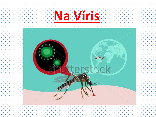

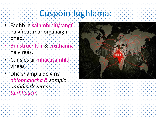## Cuspóirí foghlama:

- Fadhb le sainmhíniú/rangú na víreas mar orgánaigh bheo.
- Bunstruchtúir & cruthanna na víreas.
- Cur síos ar mhacasamhlú víreas.
- Dhá shampla de víris *dhíobhálacha & sampla amháin de víreas tairbheach*.

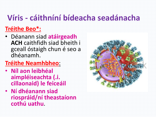## **Víris - cáithníní bídeacha seadánacha**

#### **Tréithe Beo\*:**

- Déanann siad **atáirgeadh ACH** caithfidh siad bheith i gceall óstaigh chun é seo a dhéanamh.
- **Tréithe Neamhbheo**:
- **Níl aon leibhéal aimpléiseachta (.i. cillaonaid) le feiceáil**
- **Ní dhéanann siad riospráid/ní theastaíonn cothú uathu**.

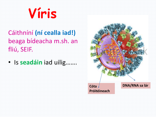# **Víris**

### Cáithníní **(ní cealla iad!)**  beaga bídeacha m.sh. an fliú, SEIF.

• Is **seadáin** iad uilig…….



**Cóta Próitéineach**

**DNA/RNA sa lár**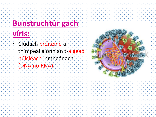## **Bunstruchtúr gach víris:**

• Clúdach próitéine a thimpeallaíonn an t-aigéad núicléach inmheánach (DNA nó RNA).

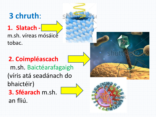## **3 chruth**:

#### **1. Slatach**  m.sh. víreas mósáice tobac.





#### **2. Coimpléascach**

m.sh. Baictéarafagaigh (víris atá seadánach do bhaictéir) **3. Sféarach** m.sh.

an fliú.

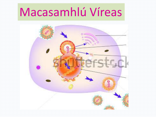# Macasamhlú Víreas

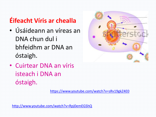### **Éifeacht Víris ar chealla**

- Úsáideann an víreas an DNA chun dul i bhfeidhm ar DNA an óstaigh.
- Cuirtear DNA an víris isteach i DNA an óstaigh.

<https://www.youtube.com/watch?v=sRv19gkZ4E0>

<http://www.youtube.com/watch?v=Rpj0emEGShQ>

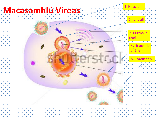## **Macasamhlú Víreas**



2. Iontráil 4. Teacht le chéile 3. Curtha le chéile 5. Scaoileadh

Ş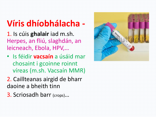# **Víris dhíobhálacha -**

- 1. Is cúis **ghalair** iad m.sh. Herpes, an fliú, slaghdán, an leicneach, Ebola, HPV,…
- Is féidir **vacsaín** a úsáid mar chosaint i gcoinne roinnt víreas (m.sh. Vacsaín MMR)



3. Scriosadh barr (crops)…

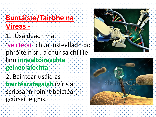## **Buntáiste/Tairbhe na Víreas** -

1. Úsáideach mar

'veicteoir' chun instealladh do phróitéin srl. a chur sa chill le linn **innealtóireachta géineolaíochta.**

2. Baintear úsáid as **baictéarafagaigh** (víris a scriosann roinnt baictéar) i gcúrsaí leighis.